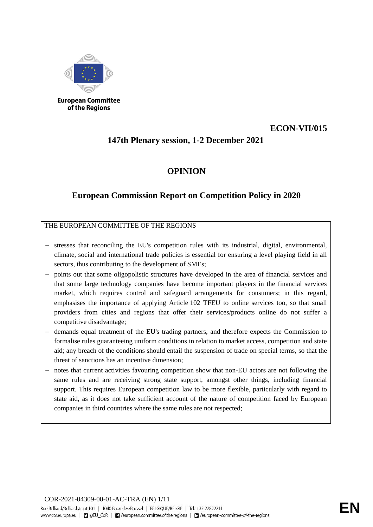

of the Regions

# **ECON-VII/015**

# **147th Plenary session, 1-2 December 2021**

# **OPINION**

# **European Commission Report on Competition Policy in 2020**

THE EUROPEAN COMMITTEE OF THE REGIONS

- stresses that reconciling the EU's competition rules with its industrial, digital, environmental, climate, social and international trade policies is essential for ensuring a level playing field in all sectors, thus contributing to the development of SMEs;
- points out that some oligopolistic structures have developed in the area of financial services and that some large technology companies have become important players in the financial services market, which requires control and safeguard arrangements for consumers; in this regard, emphasises the importance of applying Article 102 TFEU to online services too, so that small providers from cities and regions that offer their services/products online do not suffer a competitive disadvantage;
- demands equal treatment of the EU's trading partners, and therefore expects the Commission to formalise rules guaranteeing uniform conditions in relation to market access, competition and state aid; any breach of the conditions should entail the suspension of trade on special terms, so that the threat of sanctions has an incentive dimension;
- notes that current activities favouring competition show that non-EU actors are not following the same rules and are receiving strong state support, amongst other things, including financial support. This requires European competition law to be more flexible, particularly with regard to state aid, as it does not take sufficient account of the nature of competition faced by European companies in third countries where the same rules are not respected;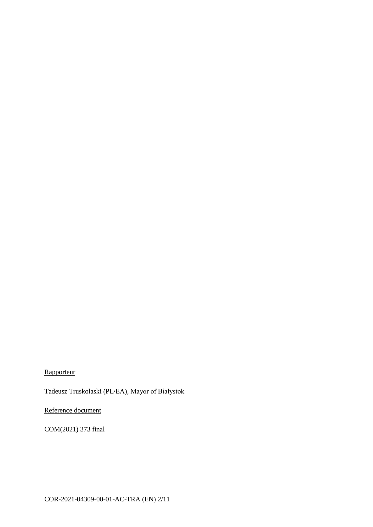**Rapporteur** 

Tadeusz Truskolaski (PL/EA), Mayor of Białystok

Reference document

COM(2021) 373 final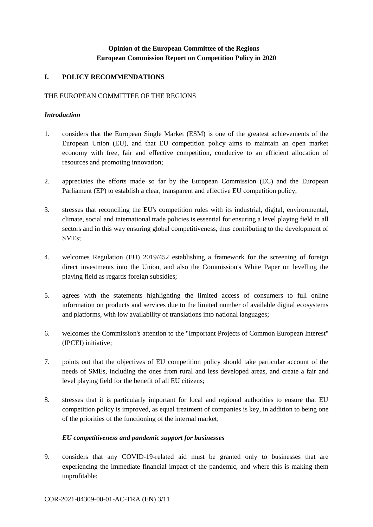## **Opinion of the European Committee of the Regions – European Commission Report on Competition Policy in 2020**

### **I. POLICY RECOMMENDATIONS**

#### THE EUROPEAN COMMITTEE OF THE REGIONS

#### *Introduction*

- 1. considers that the European Single Market (ESM) is one of the greatest achievements of the European Union (EU), and that EU competition policy aims to maintain an open market economy with free, fair and effective competition, conducive to an efficient allocation of resources and promoting innovation;
- 2. appreciates the efforts made so far by the European Commission (EC) and the European Parliament (EP) to establish a clear, transparent and effective EU competition policy;
- 3. stresses that reconciling the EU's competition rules with its industrial, digital, environmental, climate, social and international trade policies is essential for ensuring a level playing field in all sectors and in this way ensuring global competitiveness, thus contributing to the development of SMEs;
- 4. welcomes Regulation (EU) 2019/452 establishing a framework for the screening of foreign direct investments into the Union, and also the Commission's White Paper on levelling the playing field as regards foreign subsidies;
- 5. agrees with the statements highlighting the limited access of consumers to full online information on products and services due to the limited number of available digital ecosystems and platforms, with low availability of translations into national languages;
- 6. welcomes the Commission's attention to the "Important Projects of Common European Interest" (IPCEI) initiative;
- 7. points out that the objectives of EU competition policy should take particular account of the needs of SMEs, including the ones from rural and less developed areas, and create a fair and level playing field for the benefit of all EU citizens;
- 8. stresses that it is particularly important for local and regional authorities to ensure that EU competition policy is improved, as equal treatment of companies is key, in addition to being one of the priorities of the functioning of the internal market;

### *EU competitiveness and pandemic support for businesses*

9. considers that any COVID-19-related aid must be granted only to businesses that are experiencing the immediate financial impact of the pandemic, and where this is making them unprofitable;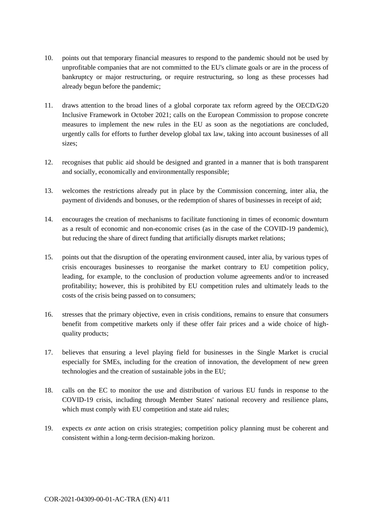- 10. points out that temporary financial measures to respond to the pandemic should not be used by unprofitable companies that are not committed to the EU's climate goals or are in the process of bankruptcy or major restructuring, or require restructuring, so long as these processes had already begun before the pandemic;
- 11. draws attention to the broad lines of a global corporate tax reform agreed by the OECD/G20 Inclusive Framework in October 2021; calls on the European Commission to propose concrete measures to implement the new rules in the EU as soon as the negotiations are concluded, urgently calls for efforts to further develop global tax law, taking into account businesses of all sizes;
- 12. recognises that public aid should be designed and granted in a manner that is both transparent and socially, economically and environmentally responsible;
- 13. welcomes the restrictions already put in place by the Commission concerning, inter alia, the payment of dividends and bonuses, or the redemption of shares of businesses in receipt of aid;
- 14. encourages the creation of mechanisms to facilitate functioning in times of economic downturn as a result of economic and non-economic crises (as in the case of the COVID-19 pandemic), but reducing the share of direct funding that artificially disrupts market relations;
- 15. points out that the disruption of the operating environment caused, inter alia, by various types of crisis encourages businesses to reorganise the market contrary to EU competition policy, leading, for example, to the conclusion of production volume agreements and/or to increased profitability; however, this is prohibited by EU competition rules and ultimately leads to the costs of the crisis being passed on to consumers;
- 16. stresses that the primary objective, even in crisis conditions, remains to ensure that consumers benefit from competitive markets only if these offer fair prices and a wide choice of highquality products;
- 17. believes that ensuring a level playing field for businesses in the Single Market is crucial especially for SMEs, including for the creation of innovation, the development of new green technologies and the creation of sustainable jobs in the EU;
- 18. calls on the EC to monitor the use and distribution of various EU funds in response to the COVID-19 crisis, including through Member States' national recovery and resilience plans, which must comply with EU competition and state aid rules;
- 19. expects *ex ante* action on crisis strategies; competition policy planning must be coherent and consistent within a long-term decision-making horizon.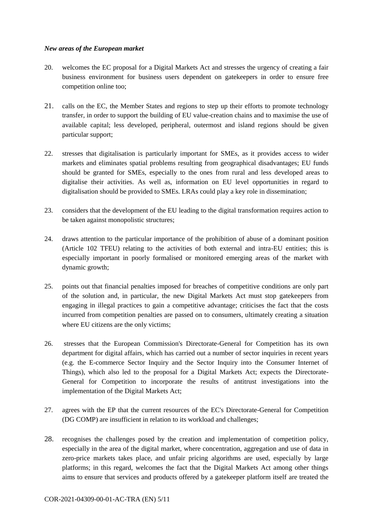#### *New areas of the European market*

- 20. welcomes the EC proposal for a Digital Markets Act and stresses the urgency of creating a fair business environment for business users dependent on gatekeepers in order to ensure free competition online too;
- 21. calls on the EC, the Member States and regions to step up their efforts to promote technology transfer, in order to support the building of EU value-creation chains and to maximise the use of available capital; less developed, peripheral, outermost and island regions should be given particular support;
- 22. stresses that digitalisation is particularly important for SMEs, as it provides access to wider markets and eliminates spatial problems resulting from geographical disadvantages; EU funds should be granted for SMEs, especially to the ones from rural and less developed areas to digitalise their activities. As well as, information on EU level opportunities in regard to digitalisation should be provided to SMEs. LRAs could play a key role in dissemination;
- 23. considers that the development of the EU leading to the digital transformation requires action to be taken against monopolistic structures;
- 24. draws attention to the particular importance of the prohibition of abuse of a dominant position (Article 102 TFEU) relating to the activities of both external and intra-EU entities; this is especially important in poorly formalised or monitored emerging areas of the market with dynamic growth;
- 25. points out that financial penalties imposed for breaches of competitive conditions are only part of the solution and, in particular, the new Digital Markets Act must stop gatekeepers from engaging in illegal practices to gain a competitive advantage; criticises the fact that the costs incurred from competition penalties are passed on to consumers, ultimately creating a situation where EU citizens are the only victims;
- 26. stresses that the European Commission's Directorate-General for Competition has its own department for digital affairs, which has carried out a number of sector inquiries in recent years (e.g. the E-commerce Sector Inquiry and the Sector Inquiry into the Consumer Internet of Things), which also led to the proposal for a Digital Markets Act; expects the Directorate-General for Competition to incorporate the results of antitrust investigations into the implementation of the Digital Markets Act;
- 27. agrees with the EP that the current resources of the EC's Directorate-General for Competition (DG COMP) are insufficient in relation to its workload and challenges;
- 28. recognises the challenges posed by the creation and implementation of competition policy, especially in the area of the digital market, where concentration, aggregation and use of data in zero-price markets takes place, and unfair pricing algorithms are used, especially by large platforms; in this regard, welcomes the fact that the Digital Markets Act among other things aims to ensure that services and products offered by a gatekeeper platform itself are treated the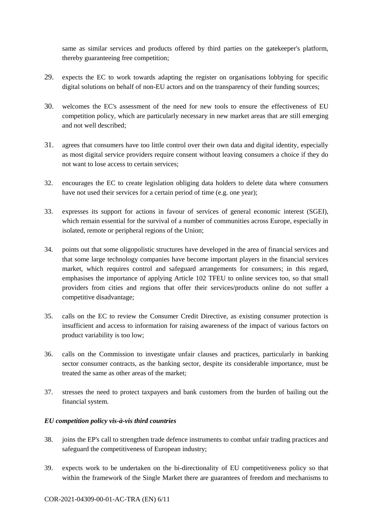same as similar services and products offered by third parties on the gatekeeper's platform, thereby guaranteeing free competition;

- 29. expects the EC to work towards adapting the register on organisations lobbying for specific digital solutions on behalf of non-EU actors and on the transparency of their funding sources;
- 30. welcomes the EC's assessment of the need for new tools to ensure the effectiveness of EU competition policy, which are particularly necessary in new market areas that are still emerging and not well described;
- 31. agrees that consumers have too little control over their own data and digital identity, especially as most digital service providers require consent without leaving consumers a choice if they do not want to lose access to certain services;
- 32. encourages the EC to create legislation obliging data holders to delete data where consumers have not used their services for a certain period of time (e.g. one year);
- 33. expresses its support for actions in favour of services of general economic interest (SGEI), which remain essential for the survival of a number of communities across Europe, especially in isolated, remote or peripheral regions of the Union;
- 34. points out that some oligopolistic structures have developed in the area of financial services and that some large technology companies have become important players in the financial services market, which requires control and safeguard arrangements for consumers; in this regard, emphasises the importance of applying Article 102 TFEU to online services too, so that small providers from cities and regions that offer their services/products online do not suffer a competitive disadvantage;
- 35. calls on the EC to review the Consumer Credit Directive, as existing consumer protection is insufficient and access to information for raising awareness of the impact of various factors on product variability is too low;
- 36. calls on the Commission to investigate unfair clauses and practices, particularly in banking sector consumer contracts, as the banking sector, despite its considerable importance, must be treated the same as other areas of the market;
- 37. stresses the need to protect taxpayers and bank customers from the burden of bailing out the financial system.

### *EU competition policy vis-à-vis third countries*

- 38. joins the EP's call to strengthen trade defence instruments to combat unfair trading practices and safeguard the competitiveness of European industry;
- 39. expects work to be undertaken on the bi-directionality of EU competitiveness policy so that within the framework of the Single Market there are guarantees of freedom and mechanisms to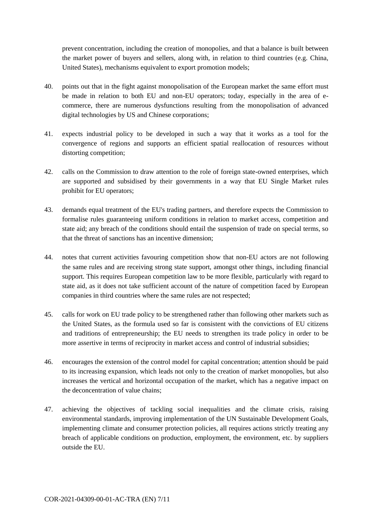prevent concentration, including the creation of monopolies, and that a balance is built between the market power of buyers and sellers, along with, in relation to third countries (e.g. China, United States), mechanisms equivalent to export promotion models;

- 40. points out that in the fight against monopolisation of the European market the same effort must be made in relation to both EU and non-EU operators; today, especially in the area of ecommerce, there are numerous dysfunctions resulting from the monopolisation of advanced digital technologies by US and Chinese corporations;
- 41. expects industrial policy to be developed in such a way that it works as a tool for the convergence of regions and supports an efficient spatial reallocation of resources without distorting competition;
- 42. calls on the Commission to draw attention to the role of foreign state-owned enterprises, which are supported and subsidised by their governments in a way that EU Single Market rules prohibit for EU operators;
- 43. demands equal treatment of the EU's trading partners, and therefore expects the Commission to formalise rules guaranteeing uniform conditions in relation to market access, competition and state aid; any breach of the conditions should entail the suspension of trade on special terms, so that the threat of sanctions has an incentive dimension;
- 44. notes that current activities favouring competition show that non-EU actors are not following the same rules and are receiving strong state support, amongst other things, including financial support. This requires European competition law to be more flexible, particularly with regard to state aid, as it does not take sufficient account of the nature of competition faced by European companies in third countries where the same rules are not respected;
- 45. calls for work on EU trade policy to be strengthened rather than following other markets such as the United States, as the formula used so far is consistent with the convictions of EU citizens and traditions of entrepreneurship; the EU needs to strengthen its trade policy in order to be more assertive in terms of reciprocity in market access and control of industrial subsidies;
- 46. encourages the extension of the control model for capital concentration; attention should be paid to its increasing expansion, which leads not only to the creation of market monopolies, but also increases the vertical and horizontal occupation of the market, which has a negative impact on the deconcentration of value chains;
- 47. achieving the objectives of tackling social inequalities and the climate crisis, raising environmental standards, improving implementation of the UN Sustainable Development Goals, implementing climate and consumer protection policies, all requires actions strictly treating any breach of applicable conditions on production, employment, the environment, etc. by suppliers outside the EU.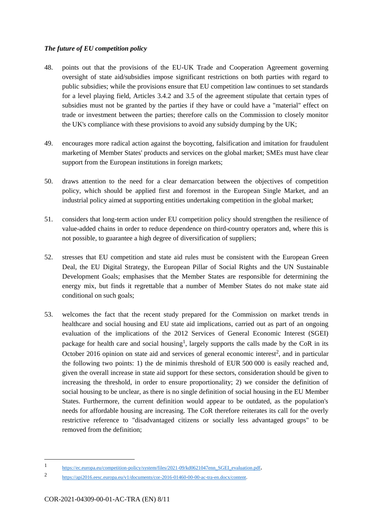### *The future of EU competition policy*

- 48. points out that the provisions of the EU-UK Trade and Cooperation Agreement governing oversight of state aid/subsidies impose significant restrictions on both parties with regard to public subsidies; while the provisions ensure that EU competition law continues to set standards for a level playing field, Articles 3.4.2 and 3.5 of the agreement stipulate that certain types of subsidies must not be granted by the parties if they have or could have a "material" effect on trade or investment between the parties; therefore calls on the Commission to closely monitor the UK's compliance with these provisions to avoid any subsidy dumping by the UK;
- 49. encourages more radical action against the boycotting, falsification and imitation for fraudulent marketing of Member States' products and services on the global market; SMEs must have clear support from the European institutions in foreign markets;
- 50. draws attention to the need for a clear demarcation between the objectives of competition policy, which should be applied first and foremost in the European Single Market, and an industrial policy aimed at supporting entities undertaking competition in the global market;
- 51. considers that long-term action under EU competition policy should strengthen the resilience of value-added chains in order to reduce dependence on third-country operators and, where this is not possible, to guarantee a high degree of diversification of suppliers;
- 52. stresses that EU competition and state aid rules must be consistent with the European Green Deal, the EU Digital Strategy, the European Pillar of Social Rights and the UN Sustainable Development Goals; emphasises that the Member States are responsible for determining the energy mix, but finds it regrettable that a number of Member States do not make state aid conditional on such goals;
- 53. welcomes the fact that the recent study prepared for the Commission on market trends in healthcare and social housing and EU state aid implications, carried out as part of an ongoing evaluation of the implications of the 2012 Services of General Economic Interest (SGEI) package for health care and social housing<sup>1</sup>, largely supports the calls made by the CoR in its October 2016 opinion on state aid and services of general economic interest<sup>2</sup>, and in particular the following two points: 1) the de minimis threshold of EUR 500 000 is easily reached and, given the overall increase in state aid support for these sectors, consideration should be given to increasing the threshold, in order to ensure proportionality; 2) we consider the definition of social housing to be unclear, as there is no single definition of social housing in the EU Member States. Furthermore, the current definition would appear to be outdated, as the population's needs for affordable housing are increasing. The CoR therefore reiterates its call for the overly restrictive reference to "disadvantaged citizens or socially less advantaged groups" to be removed from the definition;

1

<sup>1</sup> https://ec.europa.eu/competition-policy/system/files/2021-09/kd0621047enn\_SGEI\_evaluation.pdf.

<sup>2</sup> https://api2016.eesc.europa.eu/v1/documents/cor-2016-01460-00-00-ac-tra-en.docx/content.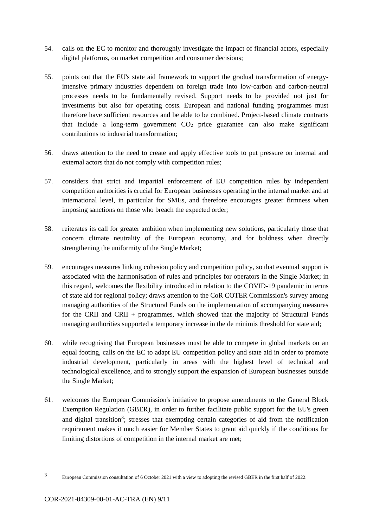- 54. calls on the EC to monitor and thoroughly investigate the impact of financial actors, especially digital platforms, on market competition and consumer decisions;
- 55. points out that the EU's state aid framework to support the gradual transformation of energyintensive primary industries dependent on foreign trade into low-carbon and carbon-neutral processes needs to be fundamentally revised. Support needs to be provided not just for investments but also for operating costs. European and national funding programmes must therefore have sufficient resources and be able to be combined. Project-based climate contracts that include a long-term government CO<sup>2</sup> price guarantee can also make significant contributions to industrial transformation;
- 56. draws attention to the need to create and apply effective tools to put pressure on internal and external actors that do not comply with competition rules;
- 57. considers that strict and impartial enforcement of EU competition rules by independent competition authorities is crucial for European businesses operating in the internal market and at international level, in particular for SMEs, and therefore encourages greater firmness when imposing sanctions on those who breach the expected order;
- 58. reiterates its call for greater ambition when implementing new solutions, particularly those that concern climate neutrality of the European economy, and for boldness when directly strengthening the uniformity of the Single Market;
- 59. encourages measures linking cohesion policy and competition policy, so that eventual support is associated with the harmonisation of rules and principles for operators in the Single Market; in this regard, welcomes the flexibility introduced in relation to the COVID-19 pandemic in terms of state aid for regional policy; draws attention to the CoR COTER Commission's survey among managing authorities of the Structural Funds on the implementation of accompanying measures for the CRII and CRII + programmes, which showed that the majority of Structural Funds managing authorities supported a temporary increase in the de minimis threshold for state aid;
- 60. while recognising that European businesses must be able to compete in global markets on an equal footing, calls on the EC to adapt EU competition policy and state aid in order to promote industrial development, particularly in areas with the highest level of technical and technological excellence, and to strongly support the expansion of European businesses outside the Single Market;
- 61. welcomes the European Commission's initiative to propose amendments to the General Block Exemption Regulation (GBER), in order to further facilitate public support for the EU's green and digital transition<sup>3</sup>; stresses that exempting certain categories of aid from the notification requirement makes it much easier for Member States to grant aid quickly if the conditions for limiting distortions of competition in the internal market are met;

<sup>1</sup> 3

European Commission consultation of 6 October 2021 with a view to adopting the revised GBER in the first half of 2022.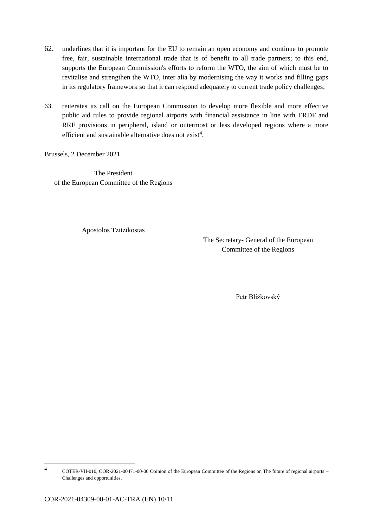- 62. underlines that it is important for the EU to remain an open economy and continue to promote free, fair, sustainable international trade that is of benefit to all trade partners; to this end, supports the European Commission's efforts to reform the WTO, the aim of which must be to revitalise and strengthen the WTO, inter alia by modernising the way it works and filling gaps in its regulatory framework so that it can respond adequately to current trade policy challenges;
- 63. reiterates its call on the European Commission to develop more flexible and more effective public aid rules to provide regional airports with financial assistance in line with ERDF and RRF provisions in peripheral, island or outermost or less developed regions where a more efficient and sustainable alternative does not exist<sup>4</sup>.

Brussels, 2 December 2021

The President of the European Committee of the Regions

Apostolos Tzitzikostas

The Secretary- General of the European Committee of the Regions

Petr Blížkovský

1

<sup>4</sup> COTER-VII-010, COR-2021-00471-00-00 Opinion of the European Committee of the Regions on The future of regional airports – Challenges and opportunities.